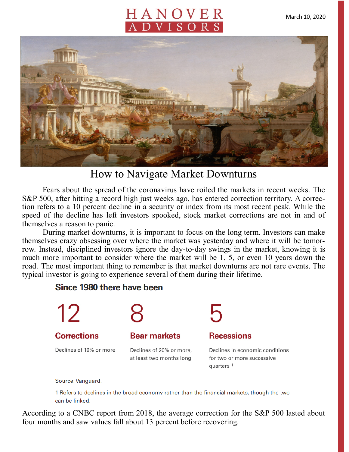# HANOVER DVISOR



## How to Navigate Market Downturns

Fears about the spread of the coronavirus have roiled the markets in recent weeks. The S&P 500, after hitting a record high just weeks ago, has entered correction territory. A correction refers to a 10 percent decline in a security or index from its most recent peak. While the speed of the decline has left investors spooked, stock market corrections are not in and of themselves a reason to panic.

During market downturns, it is important to focus on the long term. Investors can make themselves crazy obsessing over where the market was yesterday and where it will be tomorrow. Instead, disciplined investors ignore the day-to-day swings in the market, knowing it is much more important to consider where the market will be 1, 5, or even 10 years down the road. The most important thing to remember is that market downturns are not rare events. The typical investor is going to experience several of them during their lifetime.

#### Since 1980 there have been



Source: Vanguard.

1 Refers to declines in the broad economy rather than the financial markets, though the two can be linked.

According to a CNBC report from 2018, the average correction for the S&P 500 lasted about four months and saw values fall about 13 percent before recovering.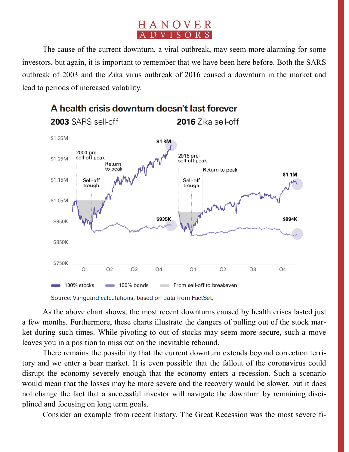### HANOVER ADVISORS

The cause of the current downturn, a viral outbreak, may seem more alarming for some investors, but again, it is important to remember that we have been here before. Both the SARS outbreak of 2003 and the Zika virus outbreak of 2016 caused a downturn in the market and lead to periods of increased volatility.



#### A health crisis downturn doesn't last forever

As the above chart shows, the most recent downturns caused by health crises lasted just a few months. Furthermore, these charts illustrate the dangers of pulling out of the stock market during such times. While pivoting to out of stocks may seem more secure, such a move leaves you in a position to miss out on the inevitable rebound.

There remains the possibility that the current downturn extends beyond correction territory and we enter a bear market. It is even possible that the fallout of the coronavirus could disrupt the economy severely enough that the economy enters a recession. Such a scenario would mean that the losses may be more severe and the recovery would be slower, but it does not change the fact that a successful investor will navigate the downturn by remaining disciplined and focusing on long term goals.

Consider an example from recent history. The Great Recession was the most severe fi-

Source: Vanguard calculations, based on data from FactSet.